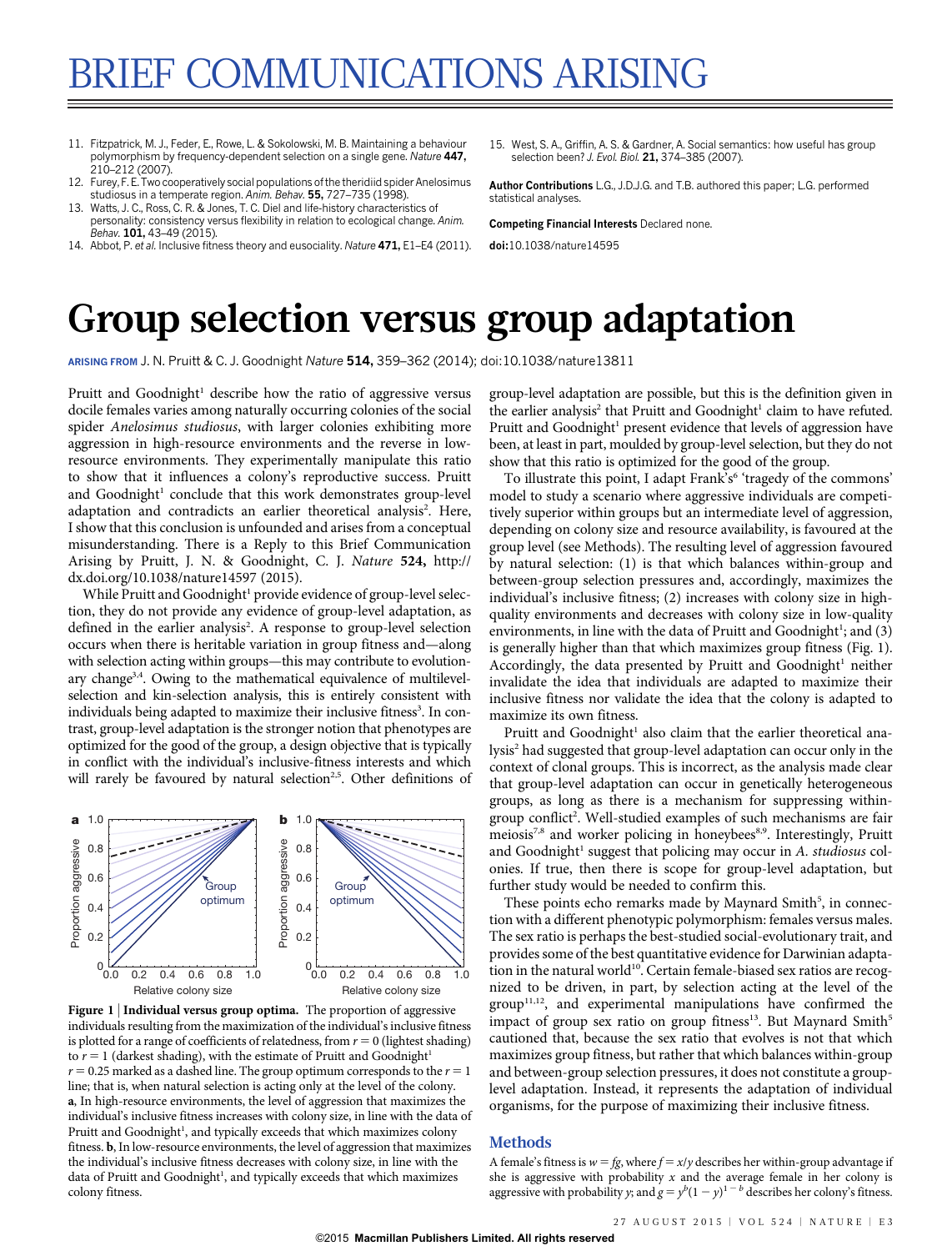- 11. Fitzpatrick, M. J., Feder, E., Rowe, L. & Sokolowski, M. B. Maintaining a behaviour polymorphism by frequency-dependent selection on a single gene. Nature 447, 210–212 (2007).
- 12. Furey, F. E. Two cooperatively social populations of the theridiid spider Anelosimus studiosus in a temperate region. Anim. Behav. 55, 727–735 (1998).
- 13. Watts, J. C., Ross, C. R. & Jones, T. C. Diel and life-history characteristics of personality: consistency versus flexibility in relation to ecological change. Anim. Behav. 101, 43-49 (2015).
- 14. Abbot, P. et al. Inclusive fitness theory and eusociality. Nature 471, E1–E4 (2011).
- 15. West, S. A., Griffin, A. S. & Gardner, A. Social semantics: how useful has group selection been? J. Evol. Biol. 21, 374-385 (2007).

Author Contributions L.G., J.D.J.G. and T.B. authored this paper; L.G. performed statistical analyses.

Competing Financial Interests Declared none.

doi:10.1038/nature14595

# Group selection versus group adaptation

ARISING FROM J. N. Pruitt & C. J. Goodnight Nature 514, 359–362 (2014); [doi:10.1038/nature13811](http://www.nature.com/doifinder/10.1038/nature13811)

Pruitt and Goodnight<sup>1</sup> describe how the ratio of aggressive versus docile females varies among naturally occurring colonies of the social spider Anelosimus studiosus, with larger colonies exhibiting more aggression in high-resource environments and the reverse in lowresource environments. They experimentally manipulate this ratio to show that it influences a colony's reproductive success. Pruitt and Goodnight<sup>1</sup> conclude that this work demonstrates group-level adaptation and contradicts an earlier theoretical analysis<sup>2</sup>. Here, I show that this conclusion is unfounded and arises from a conceptual misunderstanding. There is a Reply to this Brief Communication Arising by Pruitt, J. N. & Goodnight, C. J. Nature 524, [http://](http://dx.doi.org/10.1038/nature14597) [dx.doi.org/10.1038/nature14597](http://dx.doi.org/10.1038/nature14597) (2015).

While Pruitt and Goodnight<sup>1</sup> provide evidence of group-level selection, they do not provide any evidence of group-level adaptation, as defined in the earlier analysis<sup>2</sup>. A response to group-level selection occurs when there is heritable variation in group fitness and—along with selection acting within groups—this may contribute to evolutionary change<sup>3,4</sup>. Owing to the mathematical equivalence of multilevelselection and kin-selection analysis, this is entirely consistent with individuals being adapted to maximize their inclusive fitness<sup>3</sup>. In contrast, group-level adaptation is the stronger notion that phenotypes are optimized for the good of the group, a design objective that is typically in conflict with the individual's inclusive-fitness interests and which will rarely be favoured by natural selection<sup>2,5</sup>. Other definitions of



Figure 1 | Individual versus group optima. The proportion of aggressive individuals resulting from the maximization of the individual's inclusive fitness is plotted for a range of coefficients of relatedness, from  $r = 0$  (lightest shading) to  $r = 1$  (darkest shading), with the estimate of Pruitt and Goodnight<sup>1</sup>  $r = 0.25$  marked as a dashed line. The group optimum corresponds to the  $r = 1$ line; that is, when natural selection is acting only at the level of the colony. a, In high-resource environments, the level of aggression that maximizes the individual's inclusive fitness increases with colony size, in line with the data of Pruitt and Goodnight<sup>1</sup>, and typically exceeds that which maximizes colony fitness. b, In low-resource environments, the level of aggression that maximizes the individual's inclusive fitness decreases with colony size, in line with the data of Pruitt and Goodnight<sup>1</sup>, and typically exceeds that which maximizes colony fitness.

group-level adaptation are possible, but this is the definition given in the earlier analysis<sup>2</sup> that Pruitt and Goodnight<sup>1</sup> claim to have refuted. Pruitt and Goodnight<sup>1</sup> present evidence that levels of aggression have been, at least in part, moulded by group-level selection, but they do not show that this ratio is optimized for the good of the group.

To illustrate this point, I adapt Frank's<sup>6</sup> 'tragedy of the commons' model to study a scenario where aggressive individuals are competitively superior within groups but an intermediate level of aggression, depending on colony size and resource availability, is favoured at the group level (see Methods). The resulting level of aggression favoured by natural selection: (1) is that which balances within-group and between-group selection pressures and, accordingly, maximizes the individual's inclusive fitness; (2) increases with colony size in highquality environments and decreases with colony size in low-quality environments, in line with the data of Pruitt and Goodnight<sup>1</sup>; and (3) is generally higher than that which maximizes group fitness (Fig. 1). Accordingly, the data presented by Pruitt and Goodnight<sup>1</sup> neither invalidate the idea that individuals are adapted to maximize their inclusive fitness nor validate the idea that the colony is adapted to maximize its own fitness.

Pruitt and Goodnight<sup>1</sup> also claim that the earlier theoretical analysis<sup>2</sup> had suggested that group-level adaptation can occur only in the context of clonal groups. This is incorrect, as the analysis made clear that group-level adaptation can occur in genetically heterogeneous groups, as long as there is a mechanism for suppressing withingroup conflict<sup>2</sup>. Well-studied examples of such mechanisms are fair meiosis<sup>7,8</sup> and worker policing in honeybees<sup>8,9</sup>. Interestingly, Pruitt and Goodnight<sup>1</sup> suggest that policing may occur in A. studiosus colonies. If true, then there is scope for group-level adaptation, but further study would be needed to confirm this.

These points echo remarks made by Maynard Smith<sup>5</sup>, in connection with a different phenotypic polymorphism: females versus males. The sex ratio is perhaps the best-studied social-evolutionary trait, and provides some of the best quantitative evidence for Darwinian adaptation in the natural world<sup>10</sup>. Certain female-biased sex ratios are recognized to be driven, in part, by selection acting at the level of the group<sup>11,12</sup>, and experimental manipulations have confirmed the impact of group sex ratio on group fitness<sup>13</sup>. But Maynard Smith<sup>5</sup> cautioned that, because the sex ratio that evolves is not that which maximizes group fitness, but rather that which balances within-group and between-group selection pressures, it does not constitute a grouplevel adaptation. Instead, it represents the adaptation of individual organisms, for the purpose of maximizing their inclusive fitness.

### Methods

A female's fitness is  $w = fg$ , where  $f = x/y$  describes her within-group advantage if she is aggressive with probability  $x$  and the average female in her colony is aggressive with probability y; and  $g = y^b(1-y)^{1-b}$  describes her colony's fitness.